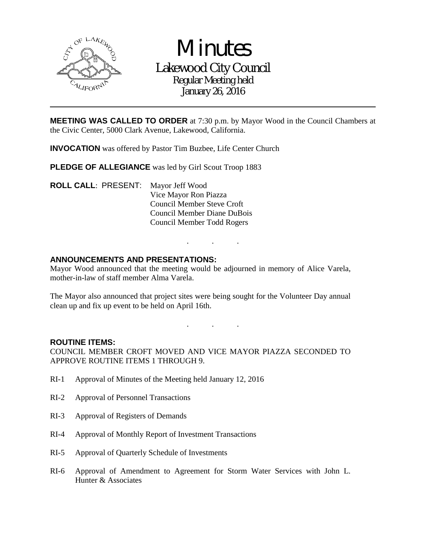

**Minutes** Lakewood City Council Regular Meeting held January 26, 2016

**MEETING WAS CALLED TO ORDER** at 7:30 p.m. by Mayor Wood in the Council Chambers at the Civic Center, 5000 Clark Avenue, Lakewood, California.

**INVOCATION** was offered by Pastor Tim Buzbee, Life Center Church

PLEDGE OF ALLEGIANCE was led by Girl Scout Troop 1883

**ROLL CALL**: PRESENT: Mayor Jeff Wood Vice Mayor Ron Piazza Council Member Steve Croft Council Member Diane DuBois Council Member Todd Rogers

# **ANNOUNCEMENTS AND PRESENTATIONS:**

Mayor Wood announced that the meeting would be adjourned in memory of Alice Varela, mother-in-law of staff member Alma Varela.

The Mayor also announced that project sites were being sought for the Volunteer Day annual clean up and fix up event to be held on April 16th.

. . .

. . .

#### **ROUTINE ITEMS:**

COUNCIL MEMBER CROFT MOVED AND VICE MAYOR PIAZZA SECONDED TO APPROVE ROUTINE ITEMS 1 THROUGH 9.

- RI-1 Approval of Minutes of the Meeting held January 12, 2016
- RI-2 Approval of Personnel Transactions
- RI-3 Approval of Registers of Demands
- RI-4 Approval of Monthly Report of Investment Transactions
- RI-5 Approval of Quarterly Schedule of Investments
- RI-6 Approval of Amendment to Agreement for Storm Water Services with John L. Hunter & Associates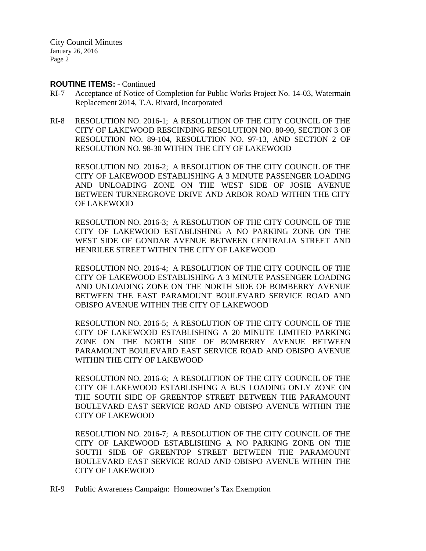#### **ROUTINE ITEMS:** - Continued

- RI-7 Acceptance of Notice of Completion for Public Works Project No. 14-03, Watermain Replacement 2014, T.A. Rivard, Incorporated
- RI-8 RESOLUTION NO. 2016-1; A RESOLUTION OF THE CITY COUNCIL OF THE CITY OF LAKEWOOD RESCINDING RESOLUTION NO. 80-90, SECTION 3 OF RESOLUTION NO. 89-104, RESOLUTION NO. 97-13, AND SECTION 2 OF RESOLUTION NO. 98-30 WITHIN THE CITY OF LAKEWOOD

 RESOLUTION NO. 2016-2; A RESOLUTION OF THE CITY COUNCIL OF THE CITY OF LAKEWOOD ESTABLISHING A 3 MINUTE PASSENGER LOADING AND UNLOADING ZONE ON THE WEST SIDE OF JOSIE AVENUE BETWEEN TURNERGROVE DRIVE AND ARBOR ROAD WITHIN THE CITY OF LAKEWOOD

 RESOLUTION NO. 2016-3; A RESOLUTION OF THE CITY COUNCIL OF THE CITY OF LAKEWOOD ESTABLISHING A NO PARKING ZONE ON THE WEST SIDE OF GONDAR AVENUE BETWEEN CENTRALIA STREET AND HENRILEE STREET WITHIN THE CITY OF LAKEWOOD

 RESOLUTION NO. 2016-4; A RESOLUTION OF THE CITY COUNCIL OF THE CITY OF LAKEWOOD ESTABLISHING A 3 MINUTE PASSENGER LOADING AND UNLOADING ZONE ON THE NORTH SIDE OF BOMBERRY AVENUE BETWEEN THE EAST PARAMOUNT BOULEVARD SERVICE ROAD AND OBISPO AVENUE WITHIN THE CITY OF LAKEWOOD

 RESOLUTION NO. 2016-5; A RESOLUTION OF THE CITY COUNCIL OF THE CITY OF LAKEWOOD ESTABLISHING A 20 MINUTE LIMITED PARKING ZONE ON THE NORTH SIDE OF BOMBERRY AVENUE BETWEEN PARAMOUNT BOULEVARD EAST SERVICE ROAD AND OBISPO AVENUE WITHIN THE CITY OF LAKEWOOD

 RESOLUTION NO. 2016-6; A RESOLUTION OF THE CITY COUNCIL OF THE CITY OF LAKEWOOD ESTABLISHING A BUS LOADING ONLY ZONE ON THE SOUTH SIDE OF GREENTOP STREET BETWEEN THE PARAMOUNT BOULEVARD EAST SERVICE ROAD AND OBISPO AVENUE WITHIN THE CITY OF LAKEWOOD

 RESOLUTION NO. 2016-7; A RESOLUTION OF THE CITY COUNCIL OF THE CITY OF LAKEWOOD ESTABLISHING A NO PARKING ZONE ON THE SOUTH SIDE OF GREENTOP STREET BETWEEN THE PARAMOUNT BOULEVARD EAST SERVICE ROAD AND OBISPO AVENUE WITHIN THE CITY OF LAKEWOOD

RI-9 Public Awareness Campaign: Homeowner's Tax Exemption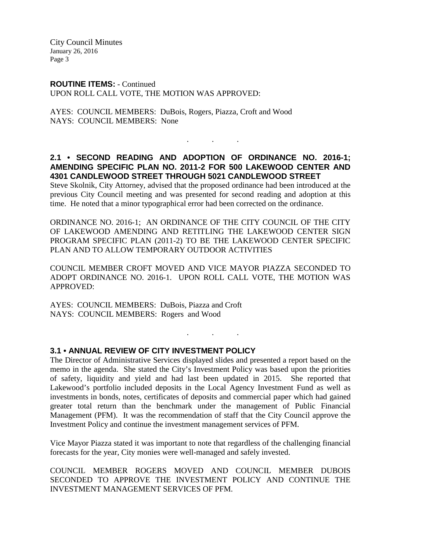**ROUTINE ITEMS:** - Continued UPON ROLL CALL VOTE, THE MOTION WAS APPROVED:

AYES: COUNCIL MEMBERS: DuBois, Rogers, Piazza, Croft and Wood NAYS: COUNCIL MEMBERS: None

# **2.1 • SECOND READING AND ADOPTION OF ORDINANCE NO. 2016-1; AMENDING SPECIFIC PLAN NO. 2011-2 FOR 500 LAKEWOOD CENTER AND 4301 CANDLEWOOD STREET THROUGH 5021 CANDLEWOOD STREET**

. . .

Steve Skolnik, City Attorney, advised that the proposed ordinance had been introduced at the previous City Council meeting and was presented for second reading and adoption at this time. He noted that a minor typographical error had been corrected on the ordinance.

ORDINANCE NO. 2016-1; AN ORDINANCE OF THE CITY COUNCIL OF THE CITY OF LAKEWOOD AMENDING AND RETITLING THE LAKEWOOD CENTER SIGN PROGRAM SPECIFIC PLAN (2011-2) TO BE THE LAKEWOOD CENTER SPECIFIC PLAN AND TO ALLOW TEMPORARY OUTDOOR ACTIVITIES

COUNCIL MEMBER CROFT MOVED AND VICE MAYOR PIAZZA SECONDED TO ADOPT ORDINANCE NO. 2016-1. UPON ROLL CALL VOTE, THE MOTION WAS APPROVED:

. . .

AYES: COUNCIL MEMBERS: DuBois, Piazza and Croft NAYS: COUNCIL MEMBERS: Rogers and Wood

#### **3.1 • ANNUAL REVIEW OF CITY INVESTMENT POLICY**

The Director of Administrative Services displayed slides and presented a report based on the memo in the agenda. She stated the City's Investment Policy was based upon the priorities of safety, liquidity and yield and had last been updated in 2015. She reported that Lakewood's portfolio included deposits in the Local Agency Investment Fund as well as investments in bonds, notes, certificates of deposits and commercial paper which had gained greater total return than the benchmark under the management of Public Financial Management (PFM). It was the recommendation of staff that the City Council approve the Investment Policy and continue the investment management services of PFM.

Vice Mayor Piazza stated it was important to note that regardless of the challenging financial forecasts for the year, City monies were well-managed and safely invested.

COUNCIL MEMBER ROGERS MOVED AND COUNCIL MEMBER DUBOIS SECONDED TO APPROVE THE INVESTMENT POLICY AND CONTINUE THE INVESTMENT MANAGEMENT SERVICES OF PFM.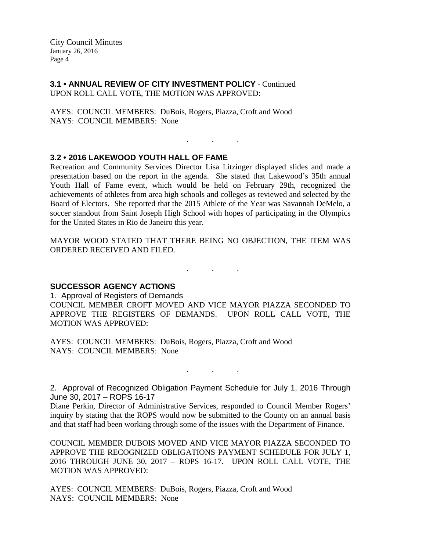**3.1 • ANNUAL REVIEW OF CITY INVESTMENT POLICY** - Continued UPON ROLL CALL VOTE, THE MOTION WAS APPROVED:

AYES: COUNCIL MEMBERS: DuBois, Rogers, Piazza, Croft and Wood NAYS: COUNCIL MEMBERS: None

### **3.2 • 2016 LAKEWOOD YOUTH HALL OF FAME**

Recreation and Community Services Director Lisa Litzinger displayed slides and made a presentation based on the report in the agenda. She stated that Lakewood's 35th annual Youth Hall of Fame event, which would be held on February 29th, recognized the achievements of athletes from area high schools and colleges as reviewed and selected by the Board of Electors. She reported that the 2015 Athlete of the Year was Savannah DeMelo, a soccer standout from Saint Joseph High School with hopes of participating in the Olympics for the United States in Rio de Janeiro this year.

. . .

MAYOR WOOD STATED THAT THERE BEING NO OBJECTION, THE ITEM WAS ORDERED RECEIVED AND FILED.

. . .

**SUCCESSOR AGENCY ACTIONS** 

1. Approval of Registers of Demands

COUNCIL MEMBER CROFT MOVED AND VICE MAYOR PIAZZA SECONDED TO APPROVE THE REGISTERS OF DEMANDS. UPON ROLL CALL VOTE, THE MOTION WAS APPROVED:

AYES: COUNCIL MEMBERS: DuBois, Rogers, Piazza, Croft and Wood NAYS: COUNCIL MEMBERS: None

2. Approval of Recognized Obligation Payment Schedule for July 1, 2016 Through June 30, 2017 – ROPS 16-17

. . .

Diane Perkin, Director of Administrative Services, responded to Council Member Rogers' inquiry by stating that the ROPS would now be submitted to the County on an annual basis and that staff had been working through some of the issues with the Department of Finance.

COUNCIL MEMBER DUBOIS MOVED AND VICE MAYOR PIAZZA SECONDED TO APPROVE THE RECOGNIZED OBLIGATIONS PAYMENT SCHEDULE FOR JULY 1, 2016 THROUGH JUNE 30, 2017 – ROPS 16-17. UPON ROLL CALL VOTE, THE MOTION WAS APPROVED:

AYES: COUNCIL MEMBERS: DuBois, Rogers, Piazza, Croft and Wood NAYS: COUNCIL MEMBERS: None